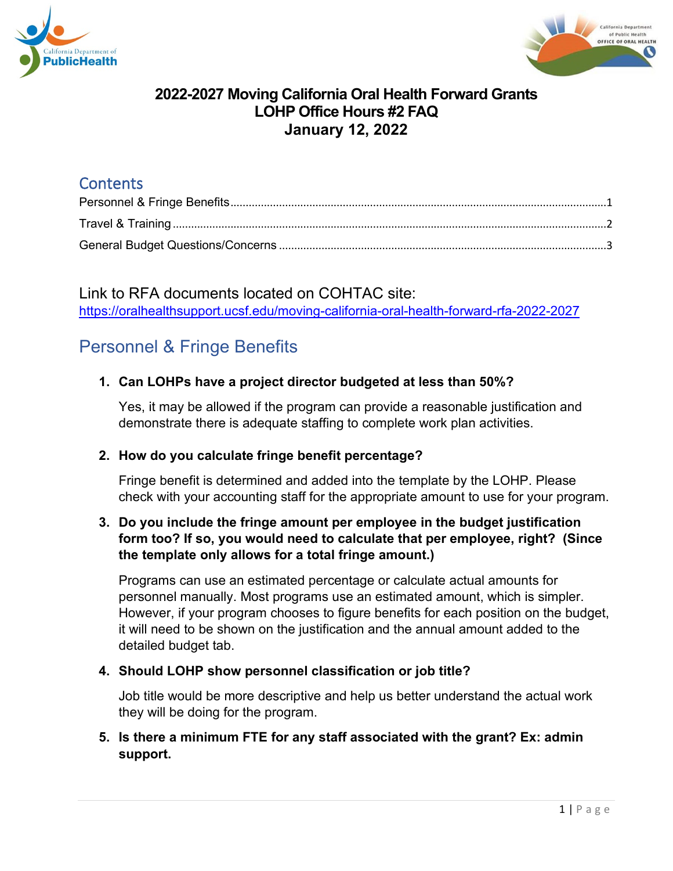



# **Contents**

Link to RFA documents located on COHTAC site: <https://oralhealthsupport.ucsf.edu/moving-california-oral-health-forward-rfa-2022-2027>

# <span id="page-0-0"></span>Personnel & Fringe Benefits

# **1. Can LOHPs have a project director budgeted at less than 50%?**

Yes, it may be allowed if the program can provide a reasonable justification and demonstrate there is adequate staffing to complete work plan activities.

# **2. How do you calculate fringe benefit percentage?**

Fringe benefit is determined and added into the template by the LOHP. Please check with your accounting staff for the appropriate amount to use for your program.

## **3. Do you include the fringe amount per employee in the budget justification form too? If so, you would need to calculate that per employee, right? (Since the template only allows for a total fringe amount.)**

Programs can use an estimated percentage or calculate actual amounts for personnel manually. Most programs use an estimated amount, which is simpler. However, if your program chooses to figure benefits for each position on the budget, it will need to be shown on the justification and the annual amount added to the detailed budget tab.

# **4. Should LOHP show personnel classification or job title?**

Job title would be more descriptive and help us better understand the actual work they will be doing for the program.

# **5. Is there a minimum FTE for any staff associated with the grant? Ex: admin support.**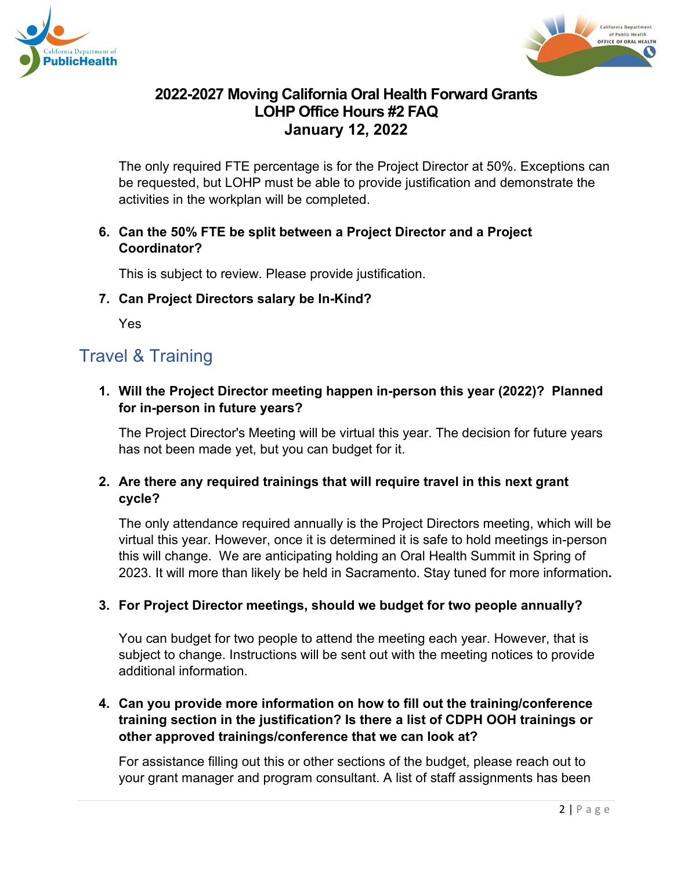



The only required FTE percentage is for the Project Director at 50%. Exceptions can be requested, but LOHP must be able to provide justification and demonstrate the activities in the workplan will be completed.

## **6. Can the 50% FTE be split between a Project Director and a Project Coordinator?**

This is subject to review. Please provide justification.

#### **7. Can Project Directors salary be In-Kind?**

Yes

# <span id="page-1-0"></span>Travel & Training

**1. Will the Project Director meeting happen in-person this year (2022)? Planned for in-person in future years?** 

The Project Director's Meeting will be virtual this year. The decision for future years has not been made yet, but you can budget for it.

# **2. Are there any required trainings that will require travel in this next grant cycle?**

The only attendance required annually is the Project Directors meeting, which will be virtual this year. However, once it is determined it is safe to hold meetings in-person this will change. We are anticipating holding an Oral Health Summit in Spring of 2023. It will more than likely be held in Sacramento. Stay tuned for more information**.**

# **3. For Project Director meetings, should we budget for two people annually?**

You can budget for two people to attend the meeting each year. However, that is subject to change. Instructions will be sent out with the meeting notices to provide additional information.

# **4. Can you provide more information on how to fill out the training/conference training section in the justification? Is there a list of CDPH OOH trainings or other approved trainings/conference that we can look at?**

For assistance filling out this or other sections of the budget, please reach out to your grant manager and program consultant. A list of staff assignments has been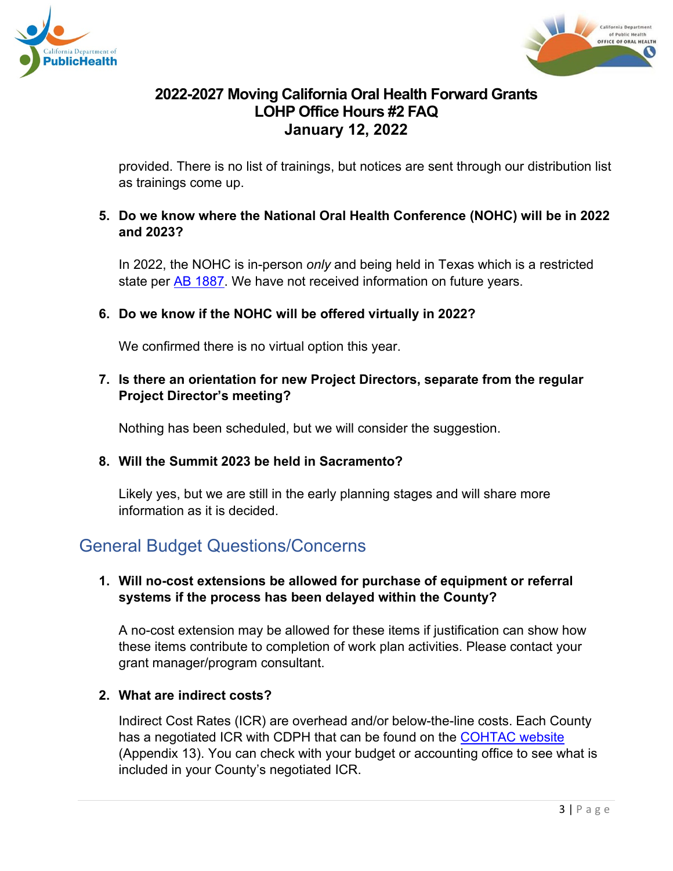



provided. There is no list of trainings, but notices are sent through our distribution list as trainings come up.

#### **5. Do we know where the National Oral Health Conference (NOHC) will be in 2022 and 2023?**

In 2022, the NOHC is in-person *only* and being held in Texas which is a restricted state per [AB 1887.](https://oag.ca.gov/ab1887) We have not received information on future years.

#### **6. Do we know if the NOHC will be offered virtually in 2022?**

We confirmed there is no virtual option this year.

## **7. Is there an orientation for new Project Directors, separate from the regular Project Director's meeting?**

Nothing has been scheduled, but we will consider the suggestion.

#### **8. Will the Summit 2023 be held in Sacramento?**

Likely yes, but we are still in the early planning stages and will share more information as it is decided.

# <span id="page-2-0"></span>General Budget Questions/Concerns

#### **1. Will no-cost extensions be allowed for purchase of equipment or referral systems if the process has been delayed within the County?**

A no-cost extension may be allowed for these items if justification can show how these items contribute to completion of work plan activities. Please contact your grant manager/program consultant.

# **2. What are indirect costs?**

Indirect Cost Rates (ICR) are overhead and/or below-the-line costs. Each County has a negotiated ICR with CDPH that can be found on the [COHTAC website](https://oralhealthsupport.ucsf.edu/moving-california-oral-health-forward-rfa-2022-2027) (Appendix 13). You can check with your budget or accounting office to see what is included in your County's negotiated ICR.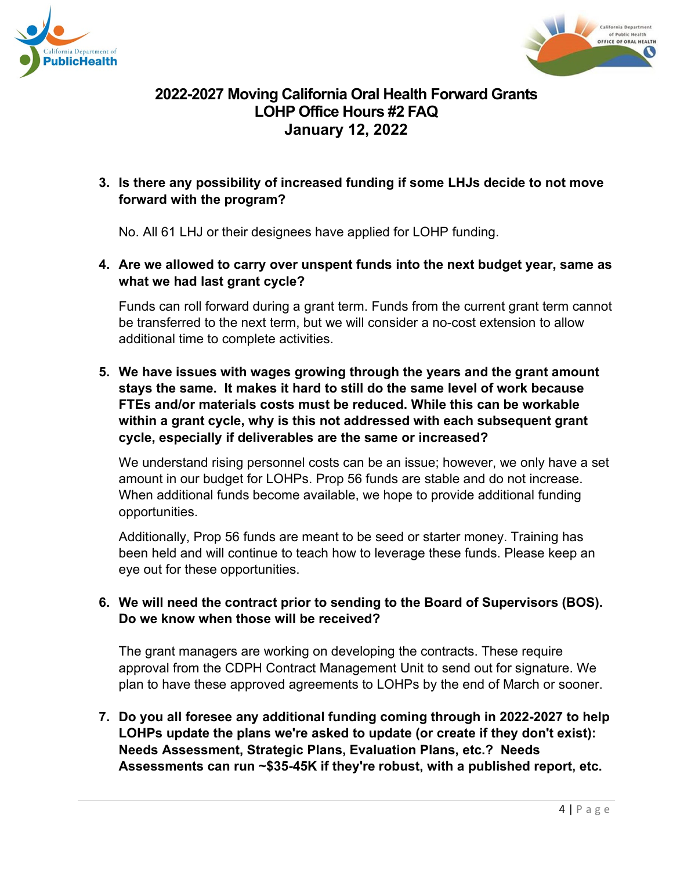



## **3. Is there any possibility of increased funding if some LHJs decide to not move forward with the program?**

No. All 61 LHJ or their designees have applied for LOHP funding.

## **4. Are we allowed to carry over unspent funds into the next budget year, same as what we had last grant cycle?**

Funds can roll forward during a grant term. Funds from the current grant term cannot be transferred to the next term, but we will consider a no-cost extension to allow additional time to complete activities.

**5. We have issues with wages growing through the years and the grant amount stays the same. It makes it hard to still do the same level of work because FTEs and/or materials costs must be reduced. While this can be workable within a grant cycle, why is this not addressed with each subsequent grant cycle, especially if deliverables are the same or increased?**

We understand rising personnel costs can be an issue; however, we only have a set amount in our budget for LOHPs. Prop 56 funds are stable and do not increase. When additional funds become available, we hope to provide additional funding opportunities.

Additionally, Prop 56 funds are meant to be seed or starter money. Training has been held and will continue to teach how to leverage these funds. Please keep an eye out for these opportunities.

# **6. We will need the contract prior to sending to the Board of Supervisors (BOS). Do we know when those will be received?**

The grant managers are working on developing the contracts. These require approval from the CDPH Contract Management Unit to send out for signature. We plan to have these approved agreements to LOHPs by the end of March or sooner.

**7. Do you all foresee any additional funding coming through in 2022-2027 to help LOHPs update the plans we're asked to update (or create if they don't exist): Needs Assessment, Strategic Plans, Evaluation Plans, etc.? Needs Assessments can run ~\$35-45K if they're robust, with a published report, etc.**